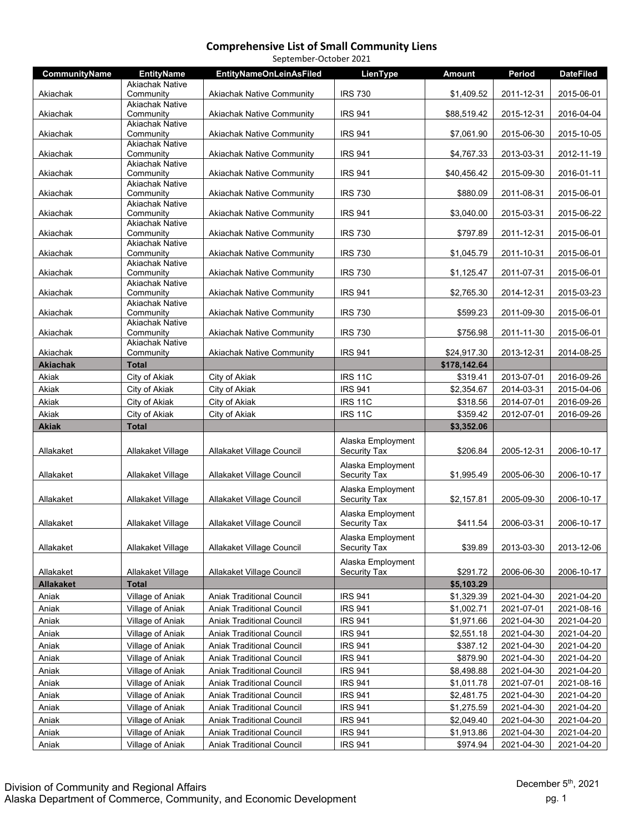| September-October 2021 |                                     |                                  |                     |              |            |                  |
|------------------------|-------------------------------------|----------------------------------|---------------------|--------------|------------|------------------|
| <b>CommunityName</b>   | <b>EntityName</b>                   | <b>EntityNameOnLeinAsFiled</b>   | LienType            | Amount       | Period     | <b>DateFiled</b> |
|                        | <b>Akiachak Native</b>              |                                  |                     |              |            |                  |
| Akiachak               | Community<br><b>Akiachak Native</b> | <b>Akiachak Native Community</b> | <b>IRS 730</b>      | \$1,409.52   | 2011-12-31 | 2015-06-01       |
| Akiachak               | Community                           | <b>Akiachak Native Community</b> | <b>IRS 941</b>      | \$88,519.42  | 2015-12-31 | 2016-04-04       |
|                        | <b>Akiachak Native</b>              |                                  |                     |              |            |                  |
| Akiachak               | Community                           | <b>Akiachak Native Community</b> | <b>IRS 941</b>      | \$7,061.90   | 2015-06-30 | 2015-10-05       |
| Akiachak               | <b>Akiachak Native</b><br>Community | <b>Akiachak Native Community</b> | <b>IRS 941</b>      | \$4,767.33   | 2013-03-31 | 2012-11-19       |
|                        | <b>Akiachak Native</b>              |                                  |                     |              |            |                  |
| Akiachak               | Community                           | <b>Akiachak Native Community</b> | <b>IRS 941</b>      | \$40,456.42  | 2015-09-30 | 2016-01-11       |
|                        | <b>Akiachak Native</b>              |                                  |                     |              |            |                  |
| Akiachak               | Community<br><b>Akiachak Native</b> | <b>Akiachak Native Community</b> | <b>IRS 730</b>      | \$880.09     | 2011-08-31 | 2015-06-01       |
| Akiachak               | Community                           | <b>Akiachak Native Community</b> | <b>IRS 941</b>      | \$3,040.00   | 2015-03-31 | 2015-06-22       |
|                        | <b>Akiachak Native</b>              |                                  |                     |              |            |                  |
| Akiachak               | Community                           | <b>Akiachak Native Community</b> | <b>IRS 730</b>      | \$797.89     | 2011-12-31 | 2015-06-01       |
| Akiachak               | <b>Akiachak Native</b><br>Community | <b>Akiachak Native Community</b> | <b>IRS 730</b>      | \$1,045.79   | 2011-10-31 | 2015-06-01       |
|                        | <b>Akiachak Native</b>              |                                  |                     |              |            |                  |
| Akiachak               | Community                           | <b>Akiachak Native Community</b> | <b>IRS 730</b>      | \$1,125.47   | 2011-07-31 | 2015-06-01       |
|                        | <b>Akiachak Native</b>              |                                  |                     |              |            |                  |
| Akiachak               | Community<br><b>Akiachak Native</b> | <b>Akiachak Native Community</b> | <b>IRS 941</b>      | \$2,765.30   | 2014-12-31 | 2015-03-23       |
| Akiachak               | Community                           | <b>Akiachak Native Community</b> | <b>IRS 730</b>      | \$599.23     | 2011-09-30 | 2015-06-01       |
|                        | <b>Akiachak Native</b>              |                                  |                     |              |            |                  |
| Akiachak               | Community<br><b>Akiachak Native</b> | <b>Akiachak Native Community</b> | <b>IRS 730</b>      | \$756.98     | 2011-11-30 | 2015-06-01       |
| Akiachak               | Community                           | <b>Akiachak Native Community</b> | <b>IRS 941</b>      | \$24,917.30  | 2013-12-31 | 2014-08-25       |
| <b>Akiachak</b>        | <b>Total</b>                        |                                  |                     | \$178,142.64 |            |                  |
| Akiak                  | City of Akiak                       | City of Akiak                    | <b>IRS 11C</b>      | \$319.41     | 2013-07-01 | 2016-09-26       |
| Akiak                  | City of Akiak                       | City of Akiak                    | <b>IRS 941</b>      | \$2,354.67   | 2014-03-31 | 2015-04-06       |
| Akiak                  | City of Akiak                       | City of Akiak                    | <b>IRS 11C</b>      | \$318.56     | 2014-07-01 | 2016-09-26       |
| Akiak                  | City of Akiak                       | City of Akiak                    | <b>IRS 11C</b>      | \$359.42     | 2012-07-01 | 2016-09-26       |
| <b>Akiak</b>           | <b>Total</b>                        |                                  |                     | \$3,352.06   |            |                  |
|                        |                                     |                                  | Alaska Employment   |              |            |                  |
| Allakaket              | Allakaket Village                   | Allakaket Village Council        | <b>Security Tax</b> | \$206.84     | 2005-12-31 | 2006-10-17       |
|                        |                                     |                                  | Alaska Employment   |              |            |                  |
| Allakaket              | Allakaket Village                   | Allakaket Village Council        | Security Tax        | \$1,995.49   | 2005-06-30 | 2006-10-17       |
|                        |                                     |                                  | Alaska Employment   |              |            |                  |
| Allakaket              | Allakaket Village                   | Allakaket Village Council        | Security Tax        | \$2,157.81   | 2005-09-30 | 2006-10-17       |
|                        |                                     |                                  | Alaska Employment   |              |            |                  |
| Allakaket              | Allakaket Village                   | Allakaket Village Council        | <b>Security Tax</b> | \$411.54     | 2006-03-31 | 2006-10-17       |
|                        |                                     |                                  | Alaska Employment   |              |            |                  |
| Allakaket              | Allakaket Village                   | Allakaket Village Council        | Security Tax        | \$39.89      | 2013-03-30 | 2013-12-06       |
|                        |                                     |                                  | Alaska Employment   |              |            |                  |
| Allakaket              | Allakaket Village                   | Allakaket Village Council        | <b>Security Tax</b> | \$291.72     | 2006-06-30 | 2006-10-17       |
| <b>Allakaket</b>       | <b>Total</b>                        |                                  |                     | \$5,103.29   |            |                  |
| Aniak                  | Village of Aniak                    | <b>Aniak Traditional Council</b> | <b>IRS 941</b>      | \$1,329.39   | 2021-04-30 | 2021-04-20       |
| Aniak                  | Village of Aniak                    | <b>Aniak Traditional Council</b> | <b>IRS 941</b>      | \$1,002.71   | 2021-07-01 | 2021-08-16       |
| Aniak                  | Village of Aniak                    | <b>Aniak Traditional Council</b> | <b>IRS 941</b>      | \$1,971.66   | 2021-04-30 | 2021-04-20       |
| Aniak                  | Village of Aniak                    | Aniak Traditional Council        | <b>IRS 941</b>      | \$2,551.18   | 2021-04-30 | 2021-04-20       |
| Aniak                  | Village of Aniak                    | Aniak Traditional Council        | <b>IRS 941</b>      | \$387.12     | 2021-04-30 | 2021-04-20       |
| Aniak                  | Village of Aniak                    | Aniak Traditional Council        | <b>IRS 941</b>      | \$879.90     | 2021-04-30 | 2021-04-20       |
| Aniak                  | Village of Aniak                    | Aniak Traditional Council        | <b>IRS 941</b>      | \$8,498.88   | 2021-04-30 | 2021-04-20       |
| Aniak                  | Village of Aniak                    | <b>Aniak Traditional Council</b> | <b>IRS 941</b>      | \$1,011.78   | 2021-07-01 | 2021-08-16       |
| Aniak                  | Village of Aniak                    | Aniak Traditional Council        | <b>IRS 941</b>      | \$2,481.75   | 2021-04-30 | 2021-04-20       |
| Aniak                  | Village of Aniak                    | Aniak Traditional Council        | <b>IRS 941</b>      | \$1,275.59   | 2021-04-30 | 2021-04-20       |
| Aniak                  | Village of Aniak                    | <b>Aniak Traditional Council</b> | <b>IRS 941</b>      | \$2,049.40   | 2021-04-30 | 2021-04-20       |
| Aniak                  | Village of Aniak                    | Aniak Traditional Council        | <b>IRS 941</b>      | \$1,913.86   | 2021-04-30 | 2021-04-20       |
| Aniak                  | Village of Aniak                    | <b>Aniak Traditional Council</b> | <b>IRS 941</b>      | \$974.94     | 2021-04-30 | 2021-04-20       |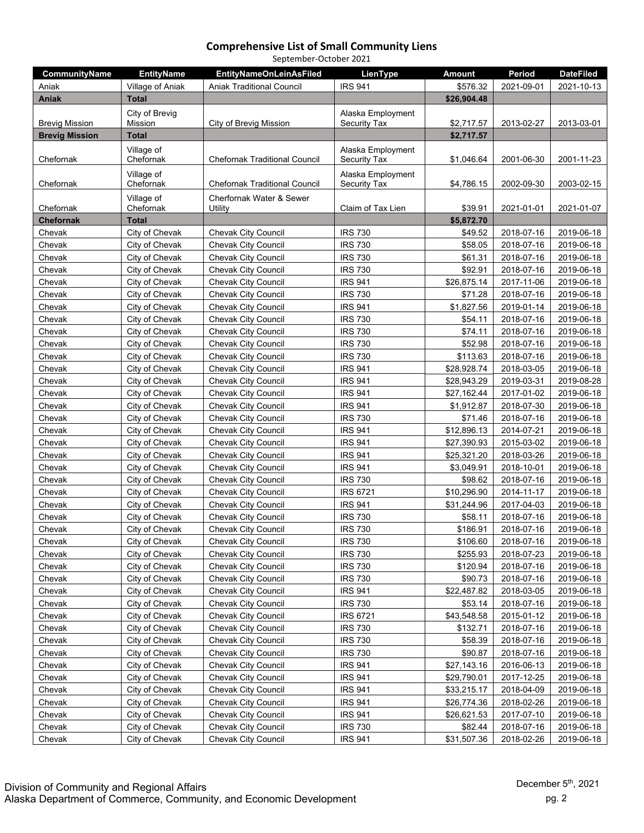| September-October 2021 |                   |                                      |                     |               |            |                  |  |
|------------------------|-------------------|--------------------------------------|---------------------|---------------|------------|------------------|--|
| <b>CommunityName</b>   | <b>EntityName</b> | <b>EntityNameOnLeinAsFiled</b>       | LienType            | <b>Amount</b> | Period     | <b>DateFiled</b> |  |
| Aniak                  | Village of Aniak  | <b>Aniak Traditional Council</b>     | <b>IRS 941</b>      | \$576.32      | 2021-09-01 | 2021-10-13       |  |
| <b>Aniak</b>           | <b>Total</b>      |                                      |                     | \$26,904.48   |            |                  |  |
|                        | City of Brevig    |                                      | Alaska Employment   |               |            |                  |  |
| <b>Brevig Mission</b>  | Mission           | City of Brevig Mission               | <b>Security Tax</b> | \$2,717.57    | 2013-02-27 | 2013-03-01       |  |
| <b>Brevig Mission</b>  | <b>Total</b>      |                                      |                     | \$2,717.57    |            |                  |  |
|                        | Village of        |                                      | Alaska Employment   |               |            |                  |  |
| Chefornak              | Chefornak         | <b>Chefornak Traditional Council</b> | Security Tax        | \$1,046.64    | 2001-06-30 | 2001-11-23       |  |
|                        | Village of        |                                      | Alaska Employment   |               |            |                  |  |
| Chefornak              | Chefornak         | <b>Chefornak Traditional Council</b> | Security Tax        | \$4,786.15    | 2002-09-30 | 2003-02-15       |  |
|                        | Village of        | Cherfornak Water & Sewer             |                     |               |            |                  |  |
| Chefornak              | Chefornak         | Utility                              | Claim of Tax Lien   | \$39.91       | 2021-01-01 | 2021-01-07       |  |
| <b>Chefornak</b>       | Total             |                                      |                     | \$5,872.70    |            |                  |  |
| Chevak                 | City of Chevak    | <b>Chevak City Council</b>           | <b>IRS 730</b>      | \$49.52       | 2018-07-16 | 2019-06-18       |  |
| Chevak                 | City of Chevak    | <b>Chevak City Council</b>           | <b>IRS 730</b>      | \$58.05       | 2018-07-16 | 2019-06-18       |  |
| Chevak                 | City of Chevak    | <b>Chevak City Council</b>           | <b>IRS 730</b>      | \$61.31       | 2018-07-16 | 2019-06-18       |  |
| Chevak                 | City of Chevak    | Chevak City Council                  | <b>IRS 730</b>      | \$92.91       | 2018-07-16 | 2019-06-18       |  |
| Chevak                 | City of Chevak    | <b>Chevak City Council</b>           | <b>IRS 941</b>      | \$26,875.14   | 2017-11-06 | 2019-06-18       |  |
| Chevak                 | City of Chevak    | Chevak City Council                  | <b>IRS 730</b>      | \$71.28       | 2018-07-16 | 2019-06-18       |  |
| Chevak                 | City of Chevak    | Chevak City Council                  | <b>IRS 941</b>      | \$1,827.56    | 2019-01-14 | 2019-06-18       |  |
| Chevak                 | City of Chevak    | Chevak City Council                  | <b>IRS 730</b>      | \$54.11       | 2018-07-16 | 2019-06-18       |  |
| Chevak                 | City of Chevak    | <b>Chevak City Council</b>           | <b>IRS 730</b>      | \$74.11       | 2018-07-16 | 2019-06-18       |  |
| Chevak                 | City of Chevak    | <b>Chevak City Council</b>           | <b>IRS 730</b>      | \$52.98       | 2018-07-16 | 2019-06-18       |  |
| Chevak                 | City of Chevak    | <b>Chevak City Council</b>           | <b>IRS 730</b>      | \$113.63      | 2018-07-16 | 2019-06-18       |  |
| Chevak                 | City of Chevak    | Chevak City Council                  | <b>IRS 941</b>      | \$28,928.74   | 2018-03-05 | 2019-06-18       |  |
| Chevak                 | City of Chevak    | Chevak City Council                  | <b>IRS 941</b>      | \$28,943.29   | 2019-03-31 | 2019-08-28       |  |
| Chevak                 | City of Chevak    | <b>Chevak City Council</b>           | <b>IRS 941</b>      | \$27,162.44   | 2017-01-02 | 2019-06-18       |  |
| Chevak                 | City of Chevak    | <b>Chevak City Council</b>           | <b>IRS 941</b>      | \$1,912.87    | 2018-07-30 | 2019-06-18       |  |
| Chevak                 | City of Chevak    | Chevak City Council                  | <b>IRS 730</b>      | \$71.46       | 2018-07-16 | 2019-06-18       |  |
| Chevak                 | City of Chevak    | <b>Chevak City Council</b>           | <b>IRS 941</b>      | \$12,896.13   | 2014-07-21 | 2019-06-18       |  |
| Chevak                 | City of Chevak    | <b>Chevak City Council</b>           | <b>IRS 941</b>      | \$27,390.93   | 2015-03-02 | 2019-06-18       |  |
| Chevak                 | City of Chevak    | <b>Chevak City Council</b>           | <b>IRS 941</b>      | \$25,321.20   | 2018-03-26 | 2019-06-18       |  |
| Chevak                 | City of Chevak    | <b>Chevak City Council</b>           | <b>IRS 941</b>      | \$3,049.91    | 2018-10-01 | 2019-06-18       |  |
| Chevak                 | City of Chevak    | Chevak City Council                  | <b>IRS 730</b>      | \$98.62       | 2018-07-16 | 2019-06-18       |  |
| Chevak                 | City of Chevak    | <b>Chevak City Council</b>           | <b>IRS 6721</b>     | \$10,296.90   | 2014-11-17 | 2019-06-18       |  |
| Chevak                 | City of Chevak    | <b>Chevak City Council</b>           | <b>IRS 941</b>      | \$31,244.96   | 2017-04-03 | 2019-06-18       |  |
| Chevak                 | City of Chevak    | Chevak City Council                  | <b>IRS 730</b>      | \$58.11       | 2018-07-16 | 2019-06-18       |  |
| Chevak                 | City of Chevak    | Chevak City Council                  | <b>IRS 730</b>      | \$186.91      | 2018-07-16 | 2019-06-18       |  |
| Chevak                 | City of Chevak    | <b>Chevak City Council</b>           | <b>IRS 730</b>      | \$106.60      | 2018-07-16 | 2019-06-18       |  |
| Chevak                 | City of Chevak    | Chevak City Council                  | <b>IRS 730</b>      | \$255.93      | 2018-07-23 | 2019-06-18       |  |
| Chevak                 | City of Chevak    | <b>Chevak City Council</b>           | <b>IRS 730</b>      | \$120.94      | 2018-07-16 | 2019-06-18       |  |
| Chevak                 | City of Chevak    | <b>Chevak City Council</b>           | <b>IRS 730</b>      | \$90.73       | 2018-07-16 | 2019-06-18       |  |
| Chevak                 | City of Chevak    | Chevak City Council                  | <b>IRS 941</b>      | \$22,487.82   | 2018-03-05 | 2019-06-18       |  |
| Chevak                 | City of Chevak    | <b>Chevak City Council</b>           | <b>IRS 730</b>      | \$53.14       | 2018-07-16 | 2019-06-18       |  |
| Chevak                 | City of Chevak    | <b>Chevak City Council</b>           | <b>IRS 6721</b>     | \$43,548.58   | 2015-01-12 | 2019-06-18       |  |
| Chevak                 | City of Chevak    | <b>Chevak City Council</b>           | <b>IRS 730</b>      | \$132.71      | 2018-07-16 | 2019-06-18       |  |
| Chevak                 | City of Chevak    | <b>Chevak City Council</b>           | <b>IRS 730</b>      | \$58.39       | 2018-07-16 | 2019-06-18       |  |
| Chevak                 | City of Chevak    | <b>Chevak City Council</b>           | <b>IRS 730</b>      | \$90.87       | 2018-07-16 | 2019-06-18       |  |
| Chevak                 | City of Chevak    | Chevak City Council                  | <b>IRS 941</b>      | \$27,143.16   | 2016-06-13 | 2019-06-18       |  |
| Chevak                 | City of Chevak    | <b>Chevak City Council</b>           | <b>IRS 941</b>      | \$29,790.01   | 2017-12-25 | 2019-06-18       |  |
| Chevak                 | City of Chevak    | Chevak City Council                  | <b>IRS 941</b>      | \$33,215.17   | 2018-04-09 | 2019-06-18       |  |
| Chevak                 | City of Chevak    | Chevak City Council                  | <b>IRS 941</b>      | \$26,774.36   | 2018-02-26 | 2019-06-18       |  |
| Chevak                 | City of Chevak    | <b>Chevak City Council</b>           | <b>IRS 941</b>      | \$26,621.53   | 2017-07-10 | 2019-06-18       |  |
| Chevak                 | City of Chevak    | Chevak City Council                  | <b>IRS 730</b>      | \$82.44       | 2018-07-16 | 2019-06-18       |  |
| Chevak                 | City of Chevak    | Chevak City Council                  | <b>IRS 941</b>      | \$31,507.36   | 2018-02-26 | 2019-06-18       |  |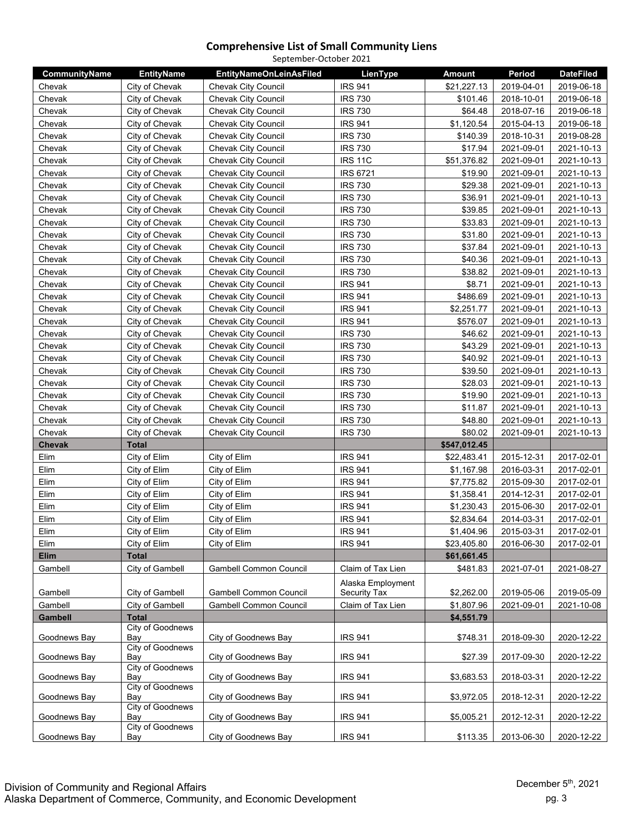| September-October 2021 |                                |                                |                   |               |            |                  |  |
|------------------------|--------------------------------|--------------------------------|-------------------|---------------|------------|------------------|--|
| CommunityName          | <b>EntityName</b>              | <b>EntityNameOnLeinAsFiled</b> | LienType          | <b>Amount</b> | Period     | <b>DateFiled</b> |  |
| Chevak                 | City of Chevak                 | <b>Chevak City Council</b>     | <b>IRS 941</b>    | \$21,227.13   | 2019-04-01 | 2019-06-18       |  |
| Chevak                 | City of Chevak                 | <b>Chevak City Council</b>     | <b>IRS 730</b>    | \$101.46      | 2018-10-01 | 2019-06-18       |  |
| Chevak                 | City of Chevak                 | <b>Chevak City Council</b>     | <b>IRS 730</b>    | \$64.48       | 2018-07-16 | 2019-06-18       |  |
| Chevak                 | City of Chevak                 | <b>Chevak City Council</b>     | <b>IRS 941</b>    | \$1,120.54    | 2015-04-13 | 2019-06-18       |  |
| Chevak                 | City of Chevak                 | <b>Chevak City Council</b>     | <b>IRS 730</b>    | \$140.39      | 2018-10-31 | 2019-08-28       |  |
| Chevak                 | City of Chevak                 | <b>Chevak City Council</b>     | <b>IRS 730</b>    | \$17.94       | 2021-09-01 | 2021-10-13       |  |
| Chevak                 | City of Chevak                 | <b>Chevak City Council</b>     | <b>IRS 11C</b>    | \$51,376.82   | 2021-09-01 | 2021-10-13       |  |
| Chevak                 | City of Chevak                 | Chevak City Council            | <b>IRS 6721</b>   | \$19.90       | 2021-09-01 | 2021-10-13       |  |
| Chevak                 | City of Chevak                 | <b>Chevak City Council</b>     | <b>IRS 730</b>    | \$29.38       | 2021-09-01 | 2021-10-13       |  |
| Chevak                 | City of Chevak                 | <b>Chevak City Council</b>     | <b>IRS 730</b>    | \$36.91       | 2021-09-01 | 2021-10-13       |  |
| Chevak                 | City of Chevak                 | Chevak City Council            | <b>IRS 730</b>    | \$39.85       | 2021-09-01 | 2021-10-13       |  |
| Chevak                 | City of Chevak                 | <b>Chevak City Council</b>     | <b>IRS 730</b>    | \$33.83       | 2021-09-01 | 2021-10-13       |  |
| Chevak                 | City of Chevak                 | <b>Chevak City Council</b>     | <b>IRS 730</b>    | \$31.80       | 2021-09-01 | 2021-10-13       |  |
| Chevak                 | City of Chevak                 | <b>Chevak City Council</b>     | <b>IRS 730</b>    | \$37.84       | 2021-09-01 | 2021-10-13       |  |
| Chevak                 | City of Chevak                 | <b>Chevak City Council</b>     | <b>IRS 730</b>    | \$40.36       | 2021-09-01 | 2021-10-13       |  |
| Chevak                 | City of Chevak                 | <b>Chevak City Council</b>     | <b>IRS 730</b>    | \$38.82       | 2021-09-01 | 2021-10-13       |  |
| Chevak                 | City of Chevak                 | <b>Chevak City Council</b>     | <b>IRS 941</b>    | \$8.71        | 2021-09-01 | 2021-10-13       |  |
| Chevak                 | City of Chevak                 | <b>Chevak City Council</b>     | <b>IRS 941</b>    | \$486.69      | 2021-09-01 | 2021-10-13       |  |
| Chevak                 | City of Chevak                 | <b>Chevak City Council</b>     | <b>IRS 941</b>    | \$2,251.77    | 2021-09-01 | 2021-10-13       |  |
| Chevak                 | City of Chevak                 | Chevak City Council            | <b>IRS 941</b>    | \$576.07      | 2021-09-01 | 2021-10-13       |  |
| Chevak                 | City of Chevak                 | <b>Chevak City Council</b>     | <b>IRS 730</b>    | \$46.62       | 2021-09-01 | 2021-10-13       |  |
| Chevak                 | City of Chevak                 | <b>Chevak City Council</b>     | <b>IRS 730</b>    | \$43.29       | 2021-09-01 | 2021-10-13       |  |
| Chevak                 | City of Chevak                 | Chevak City Council            | <b>IRS 730</b>    | \$40.92       | 2021-09-01 | 2021-10-13       |  |
| Chevak                 | City of Chevak                 | <b>Chevak City Council</b>     | <b>IRS 730</b>    | \$39.50       | 2021-09-01 | 2021-10-13       |  |
| Chevak                 | City of Chevak                 | <b>Chevak City Council</b>     | <b>IRS 730</b>    | \$28.03       | 2021-09-01 | 2021-10-13       |  |
| Chevak                 | City of Chevak                 | <b>Chevak City Council</b>     | <b>IRS 730</b>    | \$19.90       | 2021-09-01 | 2021-10-13       |  |
| Chevak                 | City of Chevak                 | <b>Chevak City Council</b>     | <b>IRS 730</b>    | \$11.87       | 2021-09-01 | 2021-10-13       |  |
| Chevak                 | City of Chevak                 | <b>Chevak City Council</b>     | <b>IRS 730</b>    | \$48.80       | 2021-09-01 | 2021-10-13       |  |
| Chevak                 | City of Chevak                 | <b>Chevak City Council</b>     | <b>IRS 730</b>    | \$80.02       | 2021-09-01 | 2021-10-13       |  |
| Chevak                 | <b>Total</b>                   |                                |                   | \$547,012.45  |            |                  |  |
| Elim                   | City of Elim                   | City of Elim                   | <b>IRS 941</b>    | \$22,483.41   | 2015-12-31 | 2017-02-01       |  |
| Elim                   | City of Elim                   | City of Elim                   | <b>IRS 941</b>    | \$1,167.98    | 2016-03-31 | 2017-02-01       |  |
| Elim                   | City of Elim                   | City of Elim                   | <b>IRS 941</b>    | \$7,775.82    | 2015-09-30 | 2017-02-01       |  |
| Elim                   | City of Elim                   | City of Elim                   | <b>IRS 941</b>    | \$1,358.41    | 2014-12-31 | 2017-02-01       |  |
| Elim                   | City of Elim                   | City of Elim                   | <b>IRS 941</b>    | \$1,230.43    | 2015-06-30 | 2017-02-01       |  |
| Elim                   | City of Elim                   | City of Elim                   | <b>IRS 941</b>    | \$2,834.64    | 2014-03-31 | 2017-02-01       |  |
| Elim                   | City of Elim                   | City of Elim                   | <b>IRS 941</b>    | \$1,404.96    | 2015-03-31 | 2017-02-01       |  |
| Elim                   | City of Elim                   | City of Elim                   | <b>IRS 941</b>    | \$23,405.80   | 2016-06-30 | 2017-02-01       |  |
| Elim                   | <b>Total</b>                   |                                |                   | \$61,661.45   |            |                  |  |
| Gambell                | City of Gambell                | <b>Gambell Common Council</b>  | Claim of Tax Lien | \$481.83      | 2021-07-01 | 2021-08-27       |  |
|                        |                                |                                | Alaska Employment |               |            |                  |  |
| Gambell                | City of Gambell                | <b>Gambell Common Council</b>  | Security Tax      | \$2,262.00    | 2019-05-06 | 2019-05-09       |  |
| Gambell                | City of Gambell                | Gambell Common Council         | Claim of Tax Lien | \$1,807.96    | 2021-09-01 | 2021-10-08       |  |
| Gambell                | <b>Total</b>                   |                                |                   | \$4,551.79    |            |                  |  |
|                        | City of Goodnews               |                                |                   |               |            |                  |  |
| Goodnews Bay           | Bay                            | City of Goodnews Bay           | <b>IRS 941</b>    | \$748.31      | 2018-09-30 | 2020-12-22       |  |
| Goodnews Bay           | City of Goodnews<br>Bay        | City of Goodnews Bay           | <b>IRS 941</b>    | \$27.39       | 2017-09-30 | 2020-12-22       |  |
|                        | <b>City of Goodnews</b>        |                                |                   |               |            |                  |  |
| Goodnews Bay           | Bay<br>City of Goodnews        | City of Goodnews Bay           | <b>IRS 941</b>    | \$3,683.53    | 2018-03-31 | 2020-12-22       |  |
| Goodnews Bay           | Bay                            | City of Goodnews Bay           | <b>IRS 941</b>    | \$3,972.05    | 2018-12-31 | 2020-12-22       |  |
| Goodnews Bay           | <b>City of Goodnews</b><br>Bay | City of Goodnews Bay           | <b>IRS 941</b>    | \$5,005.21    | 2012-12-31 | 2020-12-22       |  |
|                        | City of Goodnews               |                                |                   |               |            |                  |  |
| Goodnews Bay           | Bay                            | City of Goodnews Bay           | <b>IRS 941</b>    | \$113.35      | 2013-06-30 | 2020-12-22       |  |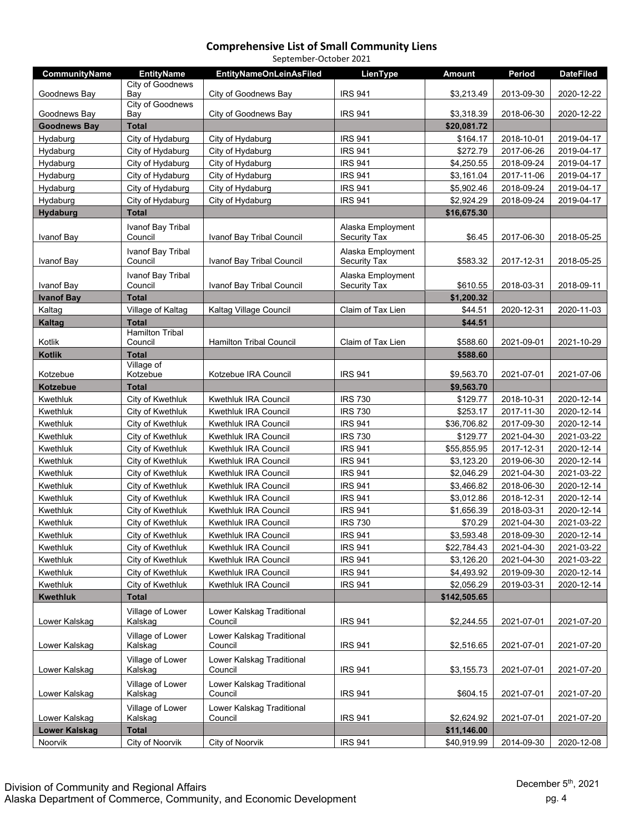| September-October 2021 |                                   |                                      |                                          |               |            |                  |  |
|------------------------|-----------------------------------|--------------------------------------|------------------------------------------|---------------|------------|------------------|--|
| <b>CommunityName</b>   | <b>EntityName</b>                 | <b>EntityNameOnLeinAsFiled</b>       | LienType                                 | <b>Amount</b> | Period     | <b>DateFiled</b> |  |
| Goodnews Bay           | City of Goodnews<br>Bay           | City of Goodnews Bay                 | <b>IRS 941</b>                           | \$3,213.49    | 2013-09-30 | 2020-12-22       |  |
| Goodnews Bay           | City of Goodnews<br>Bay           | City of Goodnews Bay                 | <b>IRS 941</b>                           | \$3,318.39    | 2018-06-30 | 2020-12-22       |  |
| <b>Goodnews Bay</b>    | <b>Total</b>                      |                                      |                                          | \$20,081.72   |            |                  |  |
| Hydaburg               | City of Hydaburg                  | City of Hydaburg                     | <b>IRS 941</b>                           | \$164.17      | 2018-10-01 | 2019-04-17       |  |
| Hydaburg               | City of Hydaburg                  | City of Hydaburg                     | <b>IRS 941</b>                           | \$272.79      | 2017-06-26 | 2019-04-17       |  |
| Hydaburg               | City of Hydaburg                  | City of Hydaburg                     | <b>IRS 941</b>                           | \$4,250.55    | 2018-09-24 | 2019-04-17       |  |
| Hydaburg               | City of Hydaburg                  | City of Hydaburg                     | <b>IRS 941</b>                           | \$3,161.04    | 2017-11-06 | 2019-04-17       |  |
| Hydaburg               | City of Hydaburg                  | City of Hydaburg                     | <b>IRS 941</b>                           | \$5,902.46    | 2018-09-24 | 2019-04-17       |  |
| Hydaburg               | City of Hydaburg                  | City of Hydaburg                     | <b>IRS 941</b>                           | \$2,924.29    | 2018-09-24 | 2019-04-17       |  |
|                        | <b>Total</b>                      |                                      |                                          |               |            |                  |  |
| <b>Hydaburg</b>        |                                   |                                      |                                          | \$16,675.30   |            |                  |  |
| Ivanof Bay             | Ivanof Bay Tribal<br>Council      | Ivanof Bay Tribal Council            | Alaska Employment<br>Security Tax        | \$6.45        | 2017-06-30 | 2018-05-25       |  |
|                        | Ivanof Bay Tribal                 |                                      | Alaska Employment                        |               |            |                  |  |
| Ivanof Bay             | Council                           | Ivanof Bay Tribal Council            | Security Tax                             | \$583.32      | 2017-12-31 | 2018-05-25       |  |
| Ivanof Bay             | Ivanof Bay Tribal<br>Council      | Ivanof Bay Tribal Council            | Alaska Employment<br><b>Security Tax</b> | \$610.55      | 2018-03-31 | 2018-09-11       |  |
| <b>Ivanof Bay</b>      | <b>Total</b>                      |                                      |                                          | \$1,200.32    |            |                  |  |
| Kaltag                 | Village of Kaltag                 | Kaltag Village Council               | Claim of Tax Lien                        | \$44.51       | 2020-12-31 | 2020-11-03       |  |
| Kaltag                 | <b>Total</b>                      |                                      |                                          | \$44.51       |            |                  |  |
| Kotlik                 | <b>Hamilton Tribal</b><br>Council | <b>Hamilton Tribal Council</b>       | Claim of Tax Lien                        | \$588.60      | 2021-09-01 | 2021-10-29       |  |
| <b>Kotlik</b>          | <b>Total</b>                      |                                      |                                          | \$588.60      |            |                  |  |
| Kotzebue               | Village of<br>Kotzebue            | Kotzebue IRA Council                 | <b>IRS 941</b>                           | \$9,563.70    | 2021-07-01 | 2021-07-06       |  |
|                        |                                   |                                      |                                          |               |            |                  |  |
| Kotzebue               | <b>Total</b>                      |                                      |                                          | \$9,563.70    |            |                  |  |
| Kwethluk               | City of Kwethluk                  | Kwethluk IRA Council                 | <b>IRS 730</b><br><b>IRS 730</b>         | \$129.77      | 2018-10-31 | 2020-12-14       |  |
| Kwethluk               | City of Kwethluk                  | Kwethluk IRA Council                 |                                          | \$253.17      | 2017-11-30 | 2020-12-14       |  |
| Kwethluk               | City of Kwethluk                  | Kwethluk IRA Council                 | <b>IRS 941</b>                           | \$36,706.82   | 2017-09-30 | 2020-12-14       |  |
| Kwethluk               | City of Kwethluk                  | Kwethluk IRA Council                 | <b>IRS 730</b>                           | \$129.77      | 2021-04-30 | 2021-03-22       |  |
| Kwethluk               | City of Kwethluk                  | <b>Kwethluk IRA Council</b>          | <b>IRS 941</b>                           | \$55,855.95   | 2017-12-31 | 2020-12-14       |  |
| Kwethluk               | City of Kwethluk                  | <b>Kwethluk IRA Council</b>          | <b>IRS 941</b>                           | \$3,123.20    | 2019-06-30 | 2020-12-14       |  |
| Kwethluk               | City of Kwethluk                  | Kwethluk IRA Council                 | <b>IRS 941</b>                           | \$2,046.29    | 2021-04-30 | 2021-03-22       |  |
| Kwethluk               | City of Kwethluk                  | Kwethluk IRA Council                 | <b>IRS 941</b>                           | \$3,466.82    | 2018-06-30 | 2020-12-14       |  |
| Kwethluk               | City of Kwethluk                  | Kwethluk IRA Council                 | <b>IRS 941</b>                           | \$3,012.86    | 2018-12-31 | 2020-12-14       |  |
| Kwethluk               | City of Kwethluk                  | Kwethluk IRA Council                 | <b>IRS 941</b>                           | \$1,656.39    | 2018-03-31 | 2020-12-14       |  |
| Kwethluk               | City of Kwethluk                  | <b>Kwethluk IRA Council</b>          | <b>IRS 730</b>                           | \$70.29       | 2021-04-30 | 2021-03-22       |  |
| Kwethluk               | City of Kwethluk                  | Kwethluk IRA Council                 | <b>IRS 941</b>                           | \$3,593.48    | 2018-09-30 | 2020-12-14       |  |
| Kwethluk               | City of Kwethluk                  | Kwethluk IRA Council                 | <b>IRS 941</b>                           | \$22,784.43   | 2021-04-30 | 2021-03-22       |  |
| Kwethluk               | City of Kwethluk                  | Kwethluk IRA Council                 | <b>IRS 941</b>                           | \$3,126.20    | 2021-04-30 | 2021-03-22       |  |
| Kwethluk               | City of Kwethluk                  | Kwethluk IRA Council                 | <b>IRS 941</b>                           | \$4,493.92    | 2019-09-30 | 2020-12-14       |  |
| Kwethluk               | City of Kwethluk                  | Kwethluk IRA Council                 | <b>IRS 941</b>                           | \$2,056.29    | 2019-03-31 | 2020-12-14       |  |
| <b>Kwethluk</b>        | <b>Total</b>                      |                                      |                                          | \$142,505.65  |            |                  |  |
| Lower Kalskag          | Village of Lower<br>Kalskag       | Lower Kalskag Traditional<br>Council | <b>IRS 941</b>                           | \$2,244.55    | 2021-07-01 | 2021-07-20       |  |
| Lower Kalskag          | Village of Lower<br>Kalskag       | Lower Kalskag Traditional<br>Council | <b>IRS 941</b>                           | \$2,516.65    | 2021-07-01 | 2021-07-20       |  |
| Lower Kalskag          | Village of Lower<br>Kalskag       | Lower Kalskag Traditional<br>Council | <b>IRS 941</b>                           | \$3,155.73    | 2021-07-01 | 2021-07-20       |  |
| Lower Kalskag          | Village of Lower<br>Kalskag       | Lower Kalskag Traditional<br>Council | <b>IRS 941</b>                           | \$604.15      | 2021-07-01 | 2021-07-20       |  |
| Lower Kalskag          | Village of Lower<br>Kalskag       | Lower Kalskag Traditional<br>Council | <b>IRS 941</b>                           | \$2,624.92    | 2021-07-01 | 2021-07-20       |  |
| <b>Lower Kalskag</b>   | <b>Total</b>                      |                                      |                                          | \$11,146.00   |            |                  |  |
| Noorvik                | City of Noorvik                   | City of Noorvik                      | <b>IRS 941</b>                           | \$40,919.99   | 2014-09-30 | 2020-12-08       |  |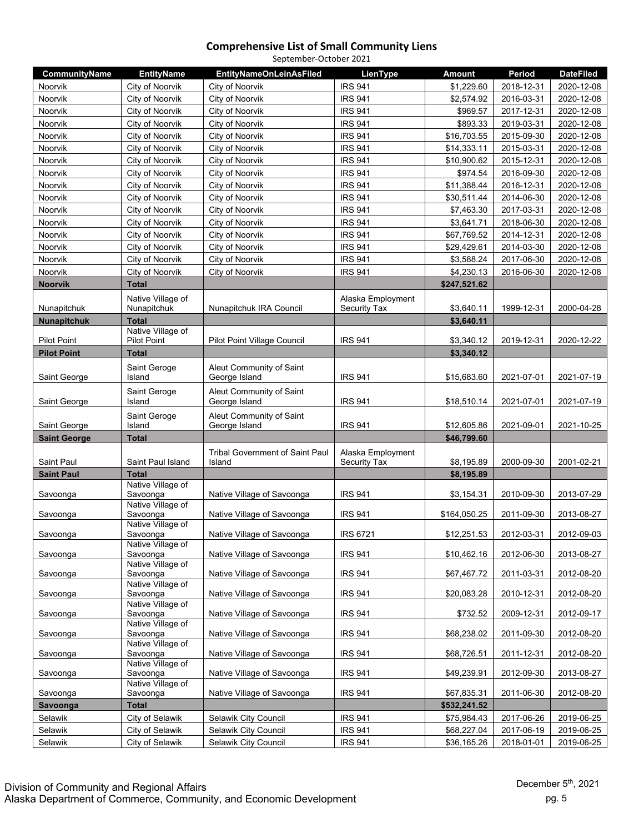| September-October 2021 |                                         |                                           |                     |               |            |                  |  |
|------------------------|-----------------------------------------|-------------------------------------------|---------------------|---------------|------------|------------------|--|
| CommunityName          | <b>EntityName</b>                       | <b>EntityNameOnLeinAsFiled</b>            | LienType            | <b>Amount</b> | Period     | <b>DateFiled</b> |  |
| Noorvik                | City of Noorvik                         | City of Noorvik                           | <b>IRS 941</b>      | \$1,229.60    | 2018-12-31 | 2020-12-08       |  |
| Noorvik                | City of Noorvik                         | City of Noorvik                           | <b>IRS 941</b>      | \$2,574.92    | 2016-03-31 | 2020-12-08       |  |
| Noorvik                | City of Noorvik                         | City of Noorvik                           | <b>IRS 941</b>      | \$969.57      | 2017-12-31 | 2020-12-08       |  |
| <b>Noorvik</b>         | City of Noorvik                         | City of Noorvik                           | <b>IRS 941</b>      | \$893.33      | 2019-03-31 | 2020-12-08       |  |
| Noorvik                | City of Noorvik                         | City of Noorvik                           | <b>IRS 941</b>      | \$16,703.55   | 2015-09-30 | 2020-12-08       |  |
| Noorvik                | City of Noorvik                         | City of Noorvik                           | <b>IRS 941</b>      | \$14,333.11   | 2015-03-31 | 2020-12-08       |  |
| Noorvik                | City of Noorvik                         | City of Noorvik                           | <b>IRS 941</b>      | \$10,900.62   | 2015-12-31 | 2020-12-08       |  |
| Noorvik                | City of Noorvik                         | City of Noorvik                           | <b>IRS 941</b>      | \$974.54      | 2016-09-30 | 2020-12-08       |  |
| Noorvik                | City of Noorvik                         | City of Noorvik                           | <b>IRS 941</b>      | \$11,388.44   | 2016-12-31 | 2020-12-08       |  |
| Noorvik                | City of Noorvik                         | City of Noorvik                           | <b>IRS 941</b>      | \$30,511.44   | 2014-06-30 | 2020-12-08       |  |
| Noorvik                | City of Noorvik                         | City of Noorvik                           | <b>IRS 941</b>      | \$7,463.30    | 2017-03-31 | 2020-12-08       |  |
| Noorvik                | City of Noorvik                         | City of Noorvik                           | <b>IRS 941</b>      | \$3,641.71    | 2018-06-30 | 2020-12-08       |  |
| Noorvik                | City of Noorvik                         | City of Noorvik                           | <b>IRS 941</b>      | \$67,769.52   | 2014-12-31 | 2020-12-08       |  |
| Noorvik                | City of Noorvik                         | City of Noorvik                           | <b>IRS 941</b>      | \$29,429.61   | 2014-03-30 | 2020-12-08       |  |
| Noorvik                | City of Noorvik                         | City of Noorvik                           | <b>IRS 941</b>      | \$3,588.24    | 2017-06-30 | 2020-12-08       |  |
| Noorvik                | City of Noorvik                         | City of Noorvik                           | <b>IRS 941</b>      | \$4,230.13    | 2016-06-30 | 2020-12-08       |  |
| <b>Noorvik</b>         | <b>Total</b>                            |                                           |                     | \$247,521.62  |            |                  |  |
|                        | Native Village of                       |                                           | Alaska Employment   |               |            |                  |  |
| Nunapitchuk            | Nunapitchuk                             | Nunapitchuk IRA Council                   | <b>Security Tax</b> | \$3,640.11    | 1999-12-31 | 2000-04-28       |  |
| <b>Nunapitchuk</b>     | <b>Total</b>                            |                                           |                     | \$3,640.11    |            |                  |  |
| <b>Pilot Point</b>     | Native Village of<br><b>Pilot Point</b> | Pilot Point Village Council               | <b>IRS 941</b>      | \$3,340.12    | 2019-12-31 | 2020-12-22       |  |
| <b>Pilot Point</b>     | <b>Total</b>                            |                                           |                     | \$3,340.12    |            |                  |  |
| Saint George           | Saint Geroge<br>Island                  | Aleut Community of Saint<br>George Island | <b>IRS 941</b>      | \$15,683.60   | 2021-07-01 | 2021-07-19       |  |
| Saint George           | Saint Geroge<br>Island                  | Aleut Community of Saint<br>George Island | <b>IRS 941</b>      | \$18,510.14   | 2021-07-01 | 2021-07-19       |  |
| Saint George           | Saint Geroge<br>Island                  | Aleut Community of Saint<br>George Island | <b>IRS 941</b>      | \$12,605.86   | 2021-09-01 | 2021-10-25       |  |
| <b>Saint George</b>    | <b>Total</b>                            |                                           |                     | \$46,799.60   |            |                  |  |
|                        |                                         | <b>Tribal Government of Saint Paul</b>    | Alaska Employment   |               |            |                  |  |
| Saint Paul             | Saint Paul Island                       | Island                                    | Security Tax        | \$8,195.89    | 2000-09-30 | 2001-02-21       |  |
| <b>Saint Paul</b>      | <b>Total</b>                            |                                           |                     | \$8,195.89    |            |                  |  |
|                        | Native Village of                       |                                           |                     |               |            |                  |  |
| Savoonga               | Savoonga<br>Native Village of           | Native Village of Savoonga                | <b>IRS 941</b>      | \$3,154.31    | 2010-09-30 | 2013-07-29       |  |
| Savoonga               | Savoonga                                | Native Village of Savoonga                | <b>IRS 941</b>      | \$164,050.25  | 2011-09-30 | 2013-08-27       |  |
| Savoonga               | Native Village of<br>Savoonga           | Native Village of Savoonga                | IRS 6721            | \$12,251.53   | 2012-03-31 | 2012-09-03       |  |
|                        | Native Village of                       |                                           |                     |               |            |                  |  |
| Savoonga               | Savoonga<br>Native Village of           | Native Village of Savoonga                | <b>IRS 941</b>      | \$10,462.16   | 2012-06-30 | 2013-08-27       |  |
| Savoonga               | Savoonga                                | Native Village of Savoonga                | <b>IRS 941</b>      | \$67,467.72   | 2011-03-31 | 2012-08-20       |  |
| Savoonga               | Native Village of<br>Savoonga           | Native Village of Savoonga                | <b>IRS 941</b>      | \$20,083.28   | 2010-12-31 | 2012-08-20       |  |
| Savoonga               | Native Village of<br>Savoonga           | Native Village of Savoonga                | <b>IRS 941</b>      | \$732.52      | 2009-12-31 | 2012-09-17       |  |
| Savoonga               | Native Village of<br>Savoonga           | Native Village of Savoonga                | <b>IRS 941</b>      | \$68,238.02   | 2011-09-30 | 2012-08-20       |  |
| Savoonga               | Native Village of<br>Savoonga           | Native Village of Savoonga                | <b>IRS 941</b>      | \$68,726.51   | 2011-12-31 | 2012-08-20       |  |
| Savoonga               | Native Village of<br>Savoonga           | Native Village of Savoonga                | <b>IRS 941</b>      | \$49,239.91   | 2012-09-30 | 2013-08-27       |  |
| Savoonga               | Native Village of<br>Savoonga           | Native Village of Savoonga                | <b>IRS 941</b>      | \$67,835.31   | 2011-06-30 | 2012-08-20       |  |
| Savoonga               | <b>Total</b>                            |                                           |                     | \$532,241.52  |            |                  |  |
| Selawik                | City of Selawik                         | Selawik City Council                      | <b>IRS 941</b>      | \$75,984.43   | 2017-06-26 | 2019-06-25       |  |
| Selawik                | City of Selawik                         | Selawik City Council                      | <b>IRS 941</b>      | \$68,227.04   | 2017-06-19 | 2019-06-25       |  |
| Selawik                | City of Selawik                         | Selawik City Council                      | <b>IRS 941</b>      | \$36,165.26   | 2018-01-01 | 2019-06-25       |  |